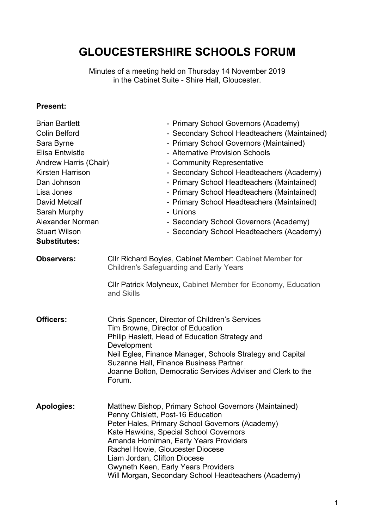# **GLOUCESTERSHIRE SCHOOLS FORUM**

Minutes of a meeting held on Thursday 14 November 2019 in the Cabinet Suite - Shire Hall, Gloucester.

#### **Present:**

| <b>Brian Bartlett</b><br><b>Colin Belford</b><br>Sara Byrne<br><b>Elisa Entwistle</b><br>Andrew Harris (Chair)<br>Kirsten Harrison<br>Dan Johnson<br>Lisa Jones<br>David Metcalf<br>Sarah Murphy<br>Alexander Norman<br><b>Stuart Wilson</b><br><b>Substitutes:</b> | - Primary School Governors (Academy)<br>- Secondary School Headteachers (Maintained)<br>- Primary School Governors (Maintained)<br>- Alternative Provision Schools<br>- Community Representative<br>- Secondary School Headteachers (Academy)<br>- Primary School Headteachers (Maintained)<br>- Primary School Headteachers (Maintained)<br>- Primary School Headteachers (Maintained)<br>- Unions<br>- Secondary School Governors (Academy)<br>- Secondary School Headteachers (Academy) |
|---------------------------------------------------------------------------------------------------------------------------------------------------------------------------------------------------------------------------------------------------------------------|--------------------------------------------------------------------------------------------------------------------------------------------------------------------------------------------------------------------------------------------------------------------------------------------------------------------------------------------------------------------------------------------------------------------------------------------------------------------------------------------|
| <b>Observers:</b>                                                                                                                                                                                                                                                   | Cllr Richard Boyles, Cabinet Member: Cabinet Member for<br><b>Children's Safeguarding and Early Years</b>                                                                                                                                                                                                                                                                                                                                                                                  |
|                                                                                                                                                                                                                                                                     | Cllr Patrick Molyneux, Cabinet Member for Economy, Education<br>and Skills                                                                                                                                                                                                                                                                                                                                                                                                                 |
| <b>Officers:</b>                                                                                                                                                                                                                                                    | Chris Spencer, Director of Children's Services<br>Tim Browne, Director of Education<br>Philip Haslett, Head of Education Strategy and<br>Development<br>Neil Egles, Finance Manager, Schools Strategy and Capital<br>Suzanne Hall, Finance Business Partner<br>Joanne Bolton, Democratic Services Adviser and Clerk to the<br>Forum.                                                                                                                                                       |
| <b>Apologies:</b>                                                                                                                                                                                                                                                   | Matthew Bishop, Primary School Governors (Maintained)<br>Penny Chislett, Post-16 Education<br>Peter Hales, Primary School Governors (Academy)<br>Kate Hawkins, Special School Governors<br>Amanda Horniman, Early Years Providers<br>Rachel Howie, Gloucester Diocese<br>Liam Jordan, Clifton Diocese<br><b>Gwyneth Keen, Early Years Providers</b><br>Will Morgan, Secondary School Headteachers (Academy)                                                                                |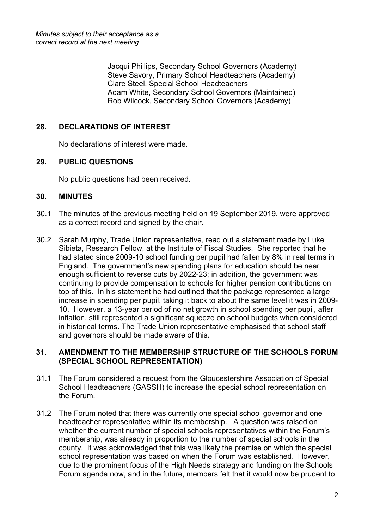Jacqui Phillips, Secondary School Governors (Academy) Steve Savory, Primary School Headteachers (Academy) Clare Steel, Special School Headteachers Adam White, Secondary School Governors (Maintained) Rob Wilcock, Secondary School Governors (Academy)

# **28. DECLARATIONS OF INTEREST**

No declarations of interest were made.

# **29. PUBLIC QUESTIONS**

No public questions had been received.

#### **30. MINUTES**

- 30.1 The minutes of the previous meeting held on 19 September 2019, were approved as a correct record and signed by the chair.
- 30.2 Sarah Murphy, Trade Union representative, read out a statement made by Luke Sibieta, Research Fellow, at the Institute of Fiscal Studies. She reported that he had stated since 2009-10 school funding per pupil had fallen by 8% in real terms in England. The government's new spending plans for education should be near enough sufficient to reverse cuts by 2022-23; in addition, the government was continuing to provide compensation to schools for higher pension contributions on top of this. In his statement he had outlined that the package represented a large increase in spending per pupil, taking it back to about the same level it was in 2009- 10. However, a 13-year period of no net growth in school spending per pupil, after inflation, still represented a significant squeeze on school budgets when considered in historical terms. The Trade Union representative emphasised that school staff and governors should be made aware of this.

#### **31. AMENDMENT TO THE MEMBERSHIP STRUCTURE OF THE SCHOOLS FORUM (SPECIAL SCHOOL REPRESENTATION)**

- 31.1 The Forum considered a request from the Gloucestershire Association of Special School Headteachers (GASSH) to increase the special school representation on the Forum.
- 31.2 The Forum noted that there was currently one special school governor and one headteacher representative within its membership. A question was raised on whether the current number of special schools representatives within the Forum's membership, was already in proportion to the number of special schools in the county. It was acknowledged that this was likely the premise on which the special school representation was based on when the Forum was established. However, due to the prominent focus of the High Needs strategy and funding on the Schools Forum agenda now, and in the future, members felt that it would now be prudent to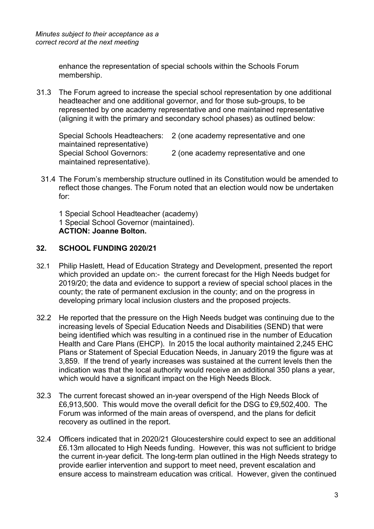enhance the representation of special schools within the Schools Forum membership.

31.3 The Forum agreed to increase the special school representation by one additional headteacher and one additional governor, and for those sub-groups, to be represented by one academy representative and one maintained representative (aligning it with the primary and secondary school phases) as outlined below:

Special Schools Headteachers: 2 (one academy representative and one maintained representative) Special School Governors: 2 (one academy representative and one maintained representative).

31.4 The Forum's membership structure outlined in its Constitution would be amended to reflect those changes. The Forum noted that an election would now be undertaken for:

1 Special School Headteacher (academy) 1 Special School Governor (maintained). **ACTION: Joanne Bolton.**

# **32. SCHOOL FUNDING 2020/21**

- 32.1 Philip Haslett, Head of Education Strategy and Development, presented the report which provided an update on:- the current forecast for the High Needs budget for 2019/20; the data and evidence to support a review of special school places in the county; the rate of permanent exclusion in the county; and on the progress in developing primary local inclusion clusters and the proposed projects.
- 32.2 He reported that the pressure on the High Needs budget was continuing due to the increasing levels of Special Education Needs and Disabilities (SEND) that were being identified which was resulting in a continued rise in the number of Education Health and Care Plans (EHCP). In 2015 the local authority maintained 2,245 EHC Plans or Statement of Special Education Needs, in January 2019 the figure was at 3,859. If the trend of yearly increases was sustained at the current levels then the indication was that the local authority would receive an additional 350 plans a year, which would have a significant impact on the High Needs Block.
- 32.3 The current forecast showed an in-year overspend of the High Needs Block of £6,913,500. This would move the overall deficit for the DSG to £9,502,400. The Forum was informed of the main areas of overspend, and the plans for deficit recovery as outlined in the report.
- 32.4 Officers indicated that in 2020/21 Gloucestershire could expect to see an additional £6.13m allocated to High Needs funding. However, this was not sufficient to bridge the current in-year deficit. The long-term plan outlined in the High Needs strategy to provide earlier intervention and support to meet need, prevent escalation and ensure access to mainstream education was critical. However, given the continued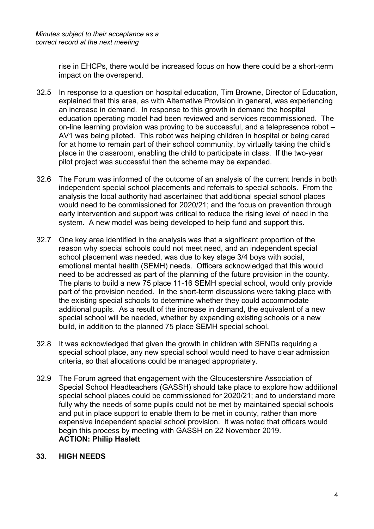rise in EHCPs, there would be increased focus on how there could be a short-term impact on the overspend.

- 32.5 In response to a question on hospital education, Tim Browne, Director of Education, explained that this area, as with Alternative Provision in general, was experiencing an increase in demand. In response to this growth in demand the hospital education operating model had been reviewed and services recommissioned. The on-line learning provision was proving to be successful, and a telepresence robot – AV1 was being piloted. This robot was helping children in hospital or being cared for at home to remain part of their school community, by virtually taking the child's place in the classroom, enabling the child to participate in class. If the two-year pilot project was successful then the scheme may be expanded.
- 32.6 The Forum was informed of the outcome of an analysis of the current trends in both independent special school placements and referrals to special schools. From the analysis the local authority had ascertained that additional special school places would need to be commissioned for 2020/21; and the focus on prevention through early intervention and support was critical to reduce the rising level of need in the system. A new model was being developed to help fund and support this.
- 32.7 One key area identified in the analysis was that a significant proportion of the reason why special schools could not meet need, and an independent special school placement was needed, was due to key stage 3/4 boys with social, emotional mental health (SEMH) needs. Officers acknowledged that this would need to be addressed as part of the planning of the future provision in the county. The plans to build a new 75 place 11-16 SEMH special school, would only provide part of the provision needed. In the short-term discussions were taking place with the existing special schools to determine whether they could accommodate additional pupils. As a result of the increase in demand, the equivalent of a new special school will be needed, whether by expanding existing schools or a new build, in addition to the planned 75 place SEMH special school.
- 32.8 It was acknowledged that given the growth in children with SENDs requiring a special school place, any new special school would need to have clear admission criteria, so that allocations could be managed appropriately.
- 32.9 The Forum agreed that engagement with the Gloucestershire Association of Special School Headteachers (GASSH) should take place to explore how additional special school places could be commissioned for 2020/21; and to understand more fully why the needs of some pupils could not be met by maintained special schools and put in place support to enable them to be met in county, rather than more expensive independent special school provision. It was noted that officers would begin this process by meeting with GASSH on 22 November 2019. **ACTION: Philip Haslett**

# **33. HIGH NEEDS**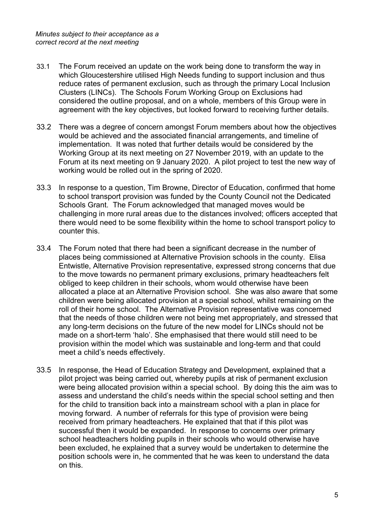- 33.1 The Forum received an update on the work being done to transform the way in which Gloucestershire utilised High Needs funding to support inclusion and thus reduce rates of permanent exclusion, such as through the primary Local Inclusion Clusters (LINCs). The Schools Forum Working Group on Exclusions had considered the outline proposal, and on a whole, members of this Group were in agreement with the key objectives, but looked forward to receiving further details.
- 33.2 There was a degree of concern amongst Forum members about how the objectives would be achieved and the associated financial arrangements, and timeline of implementation. It was noted that further details would be considered by the Working Group at its next meeting on 27 November 2019, with an update to the Forum at its next meeting on 9 January 2020. A pilot project to test the new way of working would be rolled out in the spring of 2020.
- 33.3 In response to a question, Tim Browne, Director of Education, confirmed that home to school transport provision was funded by the County Council not the Dedicated Schools Grant. The Forum acknowledged that managed moves would be challenging in more rural areas due to the distances involved; officers accepted that there would need to be some flexibility within the home to school transport policy to counter this.
- 33.4 The Forum noted that there had been a significant decrease in the number of places being commissioned at Alternative Provision schools in the county. Elisa Entwistle, Alternative Provision representative, expressed strong concerns that due to the move towards no permanent primary exclusions, primary headteachers felt obliged to keep children in their schools, whom would otherwise have been allocated a place at an Alternative Provision school. She was also aware that some children were being allocated provision at a special school, whilst remaining on the roll of their home school. The Alternative Provision representative was concerned that the needs of those children were not being met appropriately, and stressed that any long-term decisions on the future of the new model for LINCs should not be made on a short-term 'halo'. She emphasised that there would still need to be provision within the model which was sustainable and long-term and that could meet a child's needs effectively.
- 33.5 In response, the Head of Education Strategy and Development, explained that a pilot project was being carried out, whereby pupils at risk of permanent exclusion were being allocated provision within a special school. By doing this the aim was to assess and understand the child's needs within the special school setting and then for the child to transition back into a mainstream school with a plan in place for moving forward. A number of referrals for this type of provision were being received from primary headteachers. He explained that that if this pilot was successful then it would be expanded. In response to concerns over primary school headteachers holding pupils in their schools who would otherwise have been excluded, he explained that a survey would be undertaken to determine the position schools were in, he commented that he was keen to understand the data on this.